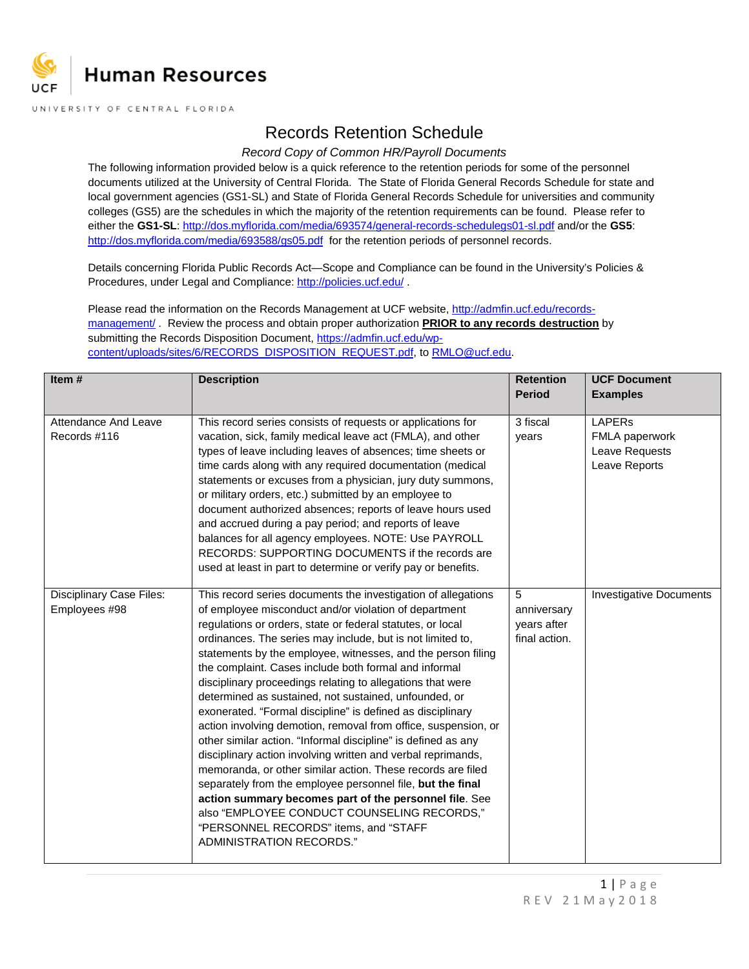

## Records Retention Schedule

## *Record Copy of Common HR/Payroll Documents*

The following information provided below is a quick reference to the retention periods for some of the personnel documents utilized at the University of Central Florida. The State of Florida General Records Schedule for state and local government agencies (GS1-SL) and State of Florida General Records Schedule for universities and community colleges (GS5) are the schedules in which the majority of the retention requirements can be found. Please refer to either the **GS1-SL**[: http://dos.myflorida.com/media/693574/general-records-schedulegs01-sl.pdf](http://dos.myflorida.com/media/693574/general-records-schedulegs01-sl.pdf) and/or the **GS5**: <http://dos.myflorida.com/media/693588/gs05.pdf> for the retention periods of personnel records.

Details concerning Florida Public Records Act—Scope and Compliance can be found in the University's Policies & Procedures, under Legal and Compliance:<http://policies.ucf.edu/>.

Please read the information on the Records Management at UCF website[, http://admfin.ucf.edu/records](http://admfin.ucf.edu/records-management/)[management/](http://admfin.ucf.edu/records-management/) . Review the process and obtain proper authorization **PRIOR to any records destruction** by submitting the Records Disposition Document, [https://admfin.ucf.edu/wp](https://admfin.ucf.edu/wp-content/uploads/sites/6/RECORDS_DISPOSITION_REQUEST.pdf)[content/uploads/sites/6/RECORDS\\_DISPOSITION\\_REQUEST.pdf,](https://admfin.ucf.edu/wp-content/uploads/sites/6/RECORDS_DISPOSITION_REQUEST.pdf) to [RMLO@ucf.edu.](mailto:RMLO@ucf.edu)

| Item $#$                                         | <b>Description</b>                                                                                                                                                                                                                                                                                                                                                                                                                                                                                                                                                                                                                                                                                                                                                                                                                                                                                                                                                                                                                                                             | <b>Retention</b><br><b>Period</b>                | <b>UCF Document</b><br><b>Examples</b>                                    |
|--------------------------------------------------|--------------------------------------------------------------------------------------------------------------------------------------------------------------------------------------------------------------------------------------------------------------------------------------------------------------------------------------------------------------------------------------------------------------------------------------------------------------------------------------------------------------------------------------------------------------------------------------------------------------------------------------------------------------------------------------------------------------------------------------------------------------------------------------------------------------------------------------------------------------------------------------------------------------------------------------------------------------------------------------------------------------------------------------------------------------------------------|--------------------------------------------------|---------------------------------------------------------------------------|
| Attendance And Leave<br>Records #116             | This record series consists of requests or applications for<br>vacation, sick, family medical leave act (FMLA), and other<br>types of leave including leaves of absences; time sheets or<br>time cards along with any required documentation (medical<br>statements or excuses from a physician, jury duty summons,<br>or military orders, etc.) submitted by an employee to<br>document authorized absences; reports of leave hours used<br>and accrued during a pay period; and reports of leave<br>balances for all agency employees. NOTE: Use PAYROLL<br>RECORDS: SUPPORTING DOCUMENTS if the records are<br>used at least in part to determine or verify pay or benefits.                                                                                                                                                                                                                                                                                                                                                                                                | 3 fiscal<br>years                                | <b>LAPERs</b><br><b>FMLA</b> paperwork<br>Leave Requests<br>Leave Reports |
| <b>Disciplinary Case Files:</b><br>Employees #98 | This record series documents the investigation of allegations<br>of employee misconduct and/or violation of department<br>regulations or orders, state or federal statutes, or local<br>ordinances. The series may include, but is not limited to,<br>statements by the employee, witnesses, and the person filing<br>the complaint. Cases include both formal and informal<br>disciplinary proceedings relating to allegations that were<br>determined as sustained, not sustained, unfounded, or<br>exonerated. "Formal discipline" is defined as disciplinary<br>action involving demotion, removal from office, suspension, or<br>other similar action. "Informal discipline" is defined as any<br>disciplinary action involving written and verbal reprimands,<br>memoranda, or other similar action. These records are filed<br>separately from the employee personnel file, but the final<br>action summary becomes part of the personnel file. See<br>also "EMPLOYEE CONDUCT COUNSELING RECORDS,"<br>"PERSONNEL RECORDS" items, and "STAFF<br>ADMINISTRATION RECORDS." | 5<br>anniversary<br>years after<br>final action. | <b>Investigative Documents</b>                                            |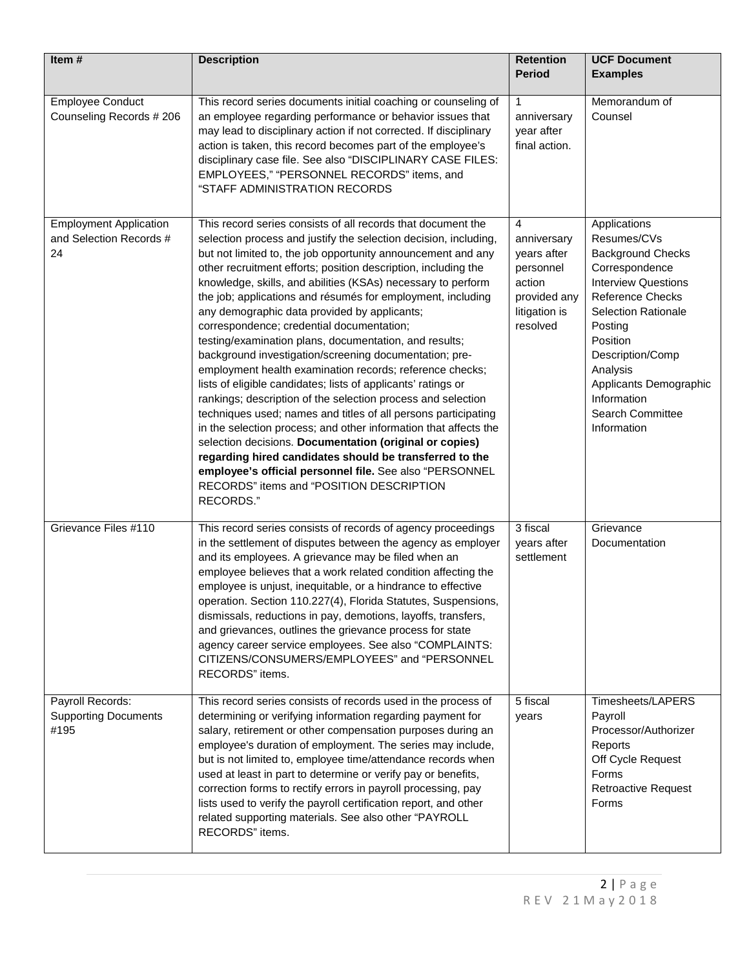| Item#                                                          | <b>Description</b>                                                                                                                                                                                                                                                                                                                                                                                                                                                                                                                                                                                                                                                                                                                                                                                                                                                                                                                                                                                                                                                                                                                                                                              | <b>Retention</b><br><b>Period</b>                                                                   | <b>UCF Document</b><br><b>Examples</b>                                                                                                                                                                                                                                                              |
|----------------------------------------------------------------|-------------------------------------------------------------------------------------------------------------------------------------------------------------------------------------------------------------------------------------------------------------------------------------------------------------------------------------------------------------------------------------------------------------------------------------------------------------------------------------------------------------------------------------------------------------------------------------------------------------------------------------------------------------------------------------------------------------------------------------------------------------------------------------------------------------------------------------------------------------------------------------------------------------------------------------------------------------------------------------------------------------------------------------------------------------------------------------------------------------------------------------------------------------------------------------------------|-----------------------------------------------------------------------------------------------------|-----------------------------------------------------------------------------------------------------------------------------------------------------------------------------------------------------------------------------------------------------------------------------------------------------|
| <b>Employee Conduct</b><br>Counseling Records # 206            | This record series documents initial coaching or counseling of<br>an employee regarding performance or behavior issues that<br>may lead to disciplinary action if not corrected. If disciplinary<br>action is taken, this record becomes part of the employee's<br>disciplinary case file. See also "DISCIPLINARY CASE FILES:<br>EMPLOYEES," "PERSONNEL RECORDS" items, and<br>"STAFF ADMINISTRATION RECORDS                                                                                                                                                                                                                                                                                                                                                                                                                                                                                                                                                                                                                                                                                                                                                                                    | $\mathbf{1}$<br>anniversary<br>year after<br>final action.                                          | Memorandum of<br>Counsel                                                                                                                                                                                                                                                                            |
| <b>Employment Application</b><br>and Selection Records #<br>24 | This record series consists of all records that document the<br>selection process and justify the selection decision, including,<br>but not limited to, the job opportunity announcement and any<br>other recruitment efforts; position description, including the<br>knowledge, skills, and abilities (KSAs) necessary to perform<br>the job; applications and résumés for employment, including<br>any demographic data provided by applicants;<br>correspondence; credential documentation;<br>testing/examination plans, documentation, and results;<br>background investigation/screening documentation; pre-<br>employment health examination records; reference checks;<br>lists of eligible candidates; lists of applicants' ratings or<br>rankings; description of the selection process and selection<br>techniques used; names and titles of all persons participating<br>in the selection process; and other information that affects the<br>selection decisions. Documentation (original or copies)<br>regarding hired candidates should be transferred to the<br>employee's official personnel file. See also "PERSONNEL<br>RECORDS" items and "POSITION DESCRIPTION<br>RECORDS." | 4<br>anniversary<br>years after<br>personnel<br>action<br>provided any<br>litigation is<br>resolved | Applications<br>Resumes/CVs<br><b>Background Checks</b><br>Correspondence<br><b>Interview Questions</b><br><b>Reference Checks</b><br><b>Selection Rationale</b><br>Posting<br>Position<br>Description/Comp<br>Analysis<br>Applicants Demographic<br>Information<br>Search Committee<br>Information |
| Grievance Files #110                                           | This record series consists of records of agency proceedings<br>in the settlement of disputes between the agency as employer<br>and its employees. A grievance may be filed when an<br>employee believes that a work related condition affecting the<br>employee is unjust, inequitable, or a hindrance to effective<br>operation. Section 110.227(4), Florida Statutes, Suspensions,<br>dismissals, reductions in pay, demotions, layoffs, transfers,<br>and grievances, outlines the grievance process for state<br>agency career service employees. See also "COMPLAINTS:<br>CITIZENS/CONSUMERS/EMPLOYEES" and "PERSONNEL<br>RECORDS" items.                                                                                                                                                                                                                                                                                                                                                                                                                                                                                                                                                 | 3 fiscal<br>years after<br>settlement                                                               | Grievance<br>Documentation                                                                                                                                                                                                                                                                          |
| Payroll Records:<br><b>Supporting Documents</b><br>#195        | This record series consists of records used in the process of<br>determining or verifying information regarding payment for<br>salary, retirement or other compensation purposes during an<br>employee's duration of employment. The series may include,<br>but is not limited to, employee time/attendance records when<br>used at least in part to determine or verify pay or benefits,<br>correction forms to rectify errors in payroll processing, pay<br>lists used to verify the payroll certification report, and other<br>related supporting materials. See also other "PAYROLL<br>RECORDS" items.                                                                                                                                                                                                                                                                                                                                                                                                                                                                                                                                                                                      | 5 fiscal<br>years                                                                                   | Timesheets/LAPERS<br>Payroll<br>Processor/Authorizer<br>Reports<br>Off Cycle Request<br>Forms<br><b>Retroactive Request</b><br>Forms                                                                                                                                                                |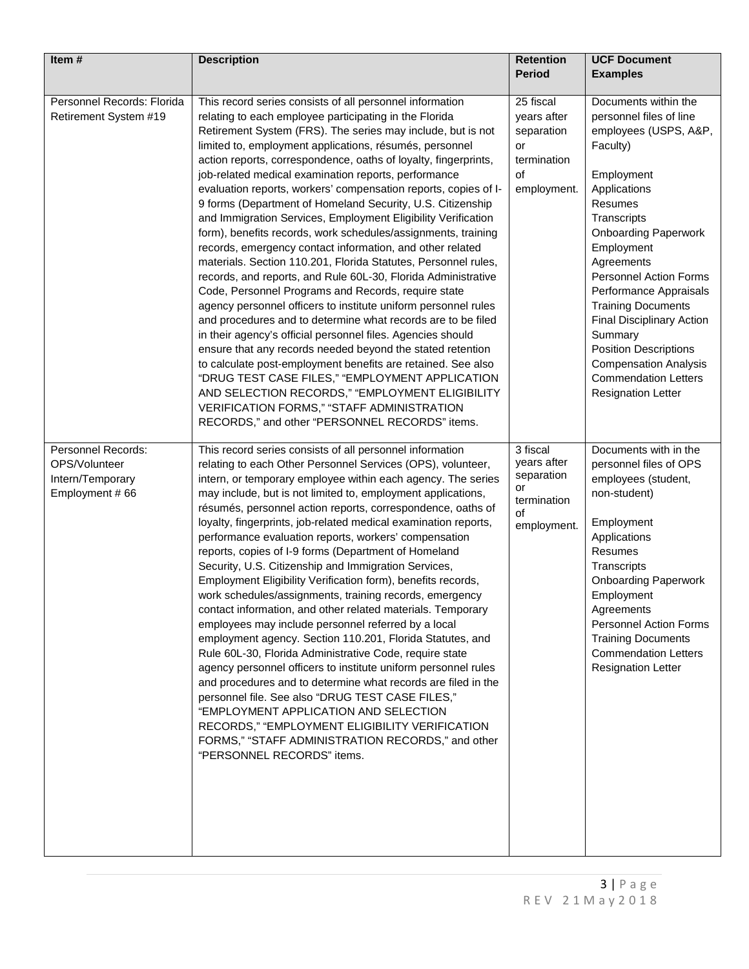| Item#                                                                     | <b>Description</b>                                                                                                                                                                                                                                                                                                                                                                                                                                                                                                                                                                                                                                                                                                                                                                                                                                                                                                                                                                                                                                                                                                                                                                                                                                                                                                                                                                                                                     | <b>Retention</b><br><b>Period</b>                                                | <b>UCF Document</b><br><b>Examples</b>                                                                                                                                                                                                                                                                                                                                                                                                                              |
|---------------------------------------------------------------------------|----------------------------------------------------------------------------------------------------------------------------------------------------------------------------------------------------------------------------------------------------------------------------------------------------------------------------------------------------------------------------------------------------------------------------------------------------------------------------------------------------------------------------------------------------------------------------------------------------------------------------------------------------------------------------------------------------------------------------------------------------------------------------------------------------------------------------------------------------------------------------------------------------------------------------------------------------------------------------------------------------------------------------------------------------------------------------------------------------------------------------------------------------------------------------------------------------------------------------------------------------------------------------------------------------------------------------------------------------------------------------------------------------------------------------------------|----------------------------------------------------------------------------------|---------------------------------------------------------------------------------------------------------------------------------------------------------------------------------------------------------------------------------------------------------------------------------------------------------------------------------------------------------------------------------------------------------------------------------------------------------------------|
| Personnel Records: Florida<br>Retirement System #19                       | This record series consists of all personnel information<br>relating to each employee participating in the Florida<br>Retirement System (FRS). The series may include, but is not<br>limited to, employment applications, résumés, personnel<br>action reports, correspondence, oaths of loyalty, fingerprints,<br>job-related medical examination reports, performance<br>evaluation reports, workers' compensation reports, copies of I-<br>9 forms (Department of Homeland Security, U.S. Citizenship<br>and Immigration Services, Employment Eligibility Verification<br>form), benefits records, work schedules/assignments, training<br>records, emergency contact information, and other related<br>materials. Section 110.201, Florida Statutes, Personnel rules,<br>records, and reports, and Rule 60L-30, Florida Administrative<br>Code, Personnel Programs and Records, require state<br>agency personnel officers to institute uniform personnel rules<br>and procedures and to determine what records are to be filed<br>in their agency's official personnel files. Agencies should<br>ensure that any records needed beyond the stated retention<br>to calculate post-employment benefits are retained. See also<br>"DRUG TEST CASE FILES," "EMPLOYMENT APPLICATION<br>AND SELECTION RECORDS," "EMPLOYMENT ELIGIBILITY<br>VERIFICATION FORMS," "STAFF ADMINISTRATION<br>RECORDS," and other "PERSONNEL RECORDS" items. | 25 fiscal<br>years after<br>separation<br>or<br>termination<br>of<br>employment. | Documents within the<br>personnel files of line<br>employees (USPS, A&P,<br>Faculty)<br>Employment<br>Applications<br>Resumes<br>Transcripts<br><b>Onboarding Paperwork</b><br>Employment<br>Agreements<br>Personnel Action Forms<br>Performance Appraisals<br><b>Training Documents</b><br><b>Final Disciplinary Action</b><br>Summary<br><b>Position Descriptions</b><br><b>Compensation Analysis</b><br><b>Commendation Letters</b><br><b>Resignation Letter</b> |
| Personnel Records:<br>OPS/Volunteer<br>Intern/Temporary<br>Employment #66 | This record series consists of all personnel information<br>relating to each Other Personnel Services (OPS), volunteer,<br>intern, or temporary employee within each agency. The series<br>may include, but is not limited to, employment applications,<br>résumés, personnel action reports, correspondence, oaths of<br>loyalty, fingerprints, job-related medical examination reports,<br>performance evaluation reports, workers' compensation<br>reports, copies of I-9 forms (Department of Homeland<br>Security, U.S. Citizenship and Immigration Services,<br>Employment Eligibility Verification form), benefits records,<br>work schedules/assignments, training records, emergency<br>contact information, and other related materials. Temporary<br>employees may include personnel referred by a local<br>employment agency. Section 110.201, Florida Statutes, and<br>Rule 60L-30, Florida Administrative Code, require state<br>agency personnel officers to institute uniform personnel rules<br>and procedures and to determine what records are filed in the<br>personnel file. See also "DRUG TEST CASE FILES,"<br>"EMPLOYMENT APPLICATION AND SELECTION<br>RECORDS," "EMPLOYMENT ELIGIBILITY VERIFICATION<br>FORMS," "STAFF ADMINISTRATION RECORDS," and other<br>"PERSONNEL RECORDS" items.                                                                                                                       | 3 fiscal<br>years after<br>separation<br>or<br>termination<br>of<br>employment.  | Documents with in the<br>personnel files of OPS<br>employees (student,<br>non-student)<br>Employment<br>Applications<br>Resumes<br>Transcripts<br><b>Onboarding Paperwork</b><br>Employment<br>Agreements<br>Personnel Action Forms<br><b>Training Documents</b><br><b>Commendation Letters</b><br><b>Resignation Letter</b>                                                                                                                                        |